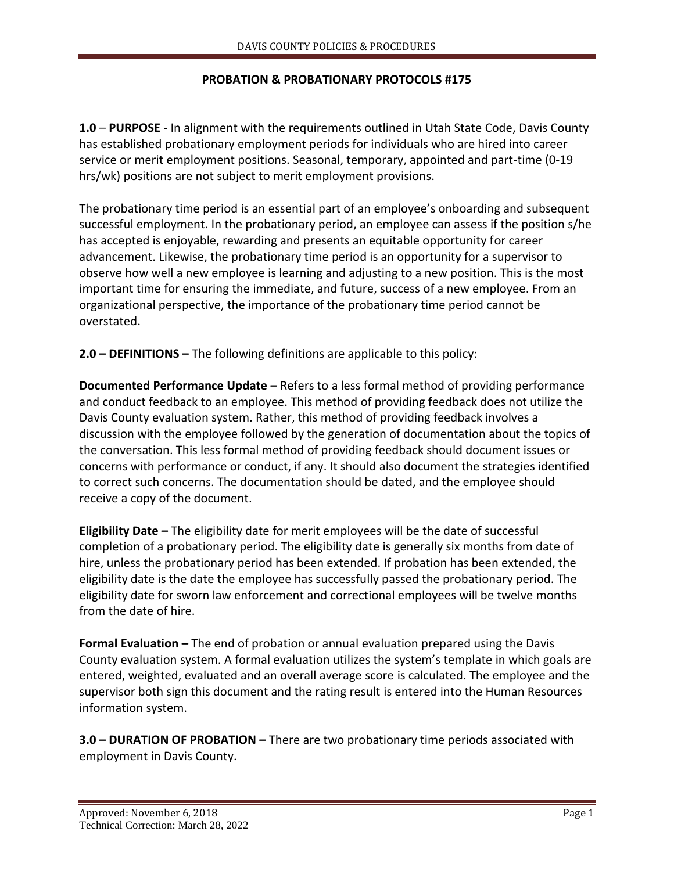## **PROBATION & PROBATIONARY PROTOCOLS #175**

**1.0** – **PURPOSE** - In alignment with the requirements outlined in Utah State Code, Davis County has established probationary employment periods for individuals who are hired into career service or merit employment positions. Seasonal, temporary, appointed and part-time (0-19 hrs/wk) positions are not subject to merit employment provisions.

The probationary time period is an essential part of an employee's onboarding and subsequent successful employment. In the probationary period, an employee can assess if the position s/he has accepted is enjoyable, rewarding and presents an equitable opportunity for career advancement. Likewise, the probationary time period is an opportunity for a supervisor to observe how well a new employee is learning and adjusting to a new position. This is the most important time for ensuring the immediate, and future, success of a new employee. From an organizational perspective, the importance of the probationary time period cannot be overstated.

**2.0 – DEFINITIONS –** The following definitions are applicable to this policy:

**Documented Performance Update –** Refers to a less formal method of providing performance and conduct feedback to an employee. This method of providing feedback does not utilize the Davis County evaluation system. Rather, this method of providing feedback involves a discussion with the employee followed by the generation of documentation about the topics of the conversation. This less formal method of providing feedback should document issues or concerns with performance or conduct, if any. It should also document the strategies identified to correct such concerns. The documentation should be dated, and the employee should receive a copy of the document.

**Eligibility Date –** The eligibility date for merit employees will be the date of successful completion of a probationary period. The eligibility date is generally six months from date of hire, unless the probationary period has been extended. If probation has been extended, the eligibility date is the date the employee has successfully passed the probationary period. The eligibility date for sworn law enforcement and correctional employees will be twelve months from the date of hire.

**Formal Evaluation –** The end of probation or annual evaluation prepared using the Davis County evaluation system. A formal evaluation utilizes the system's template in which goals are entered, weighted, evaluated and an overall average score is calculated. The employee and the supervisor both sign this document and the rating result is entered into the Human Resources information system.

**3.0 – DURATION OF PROBATION –** There are two probationary time periods associated with employment in Davis County.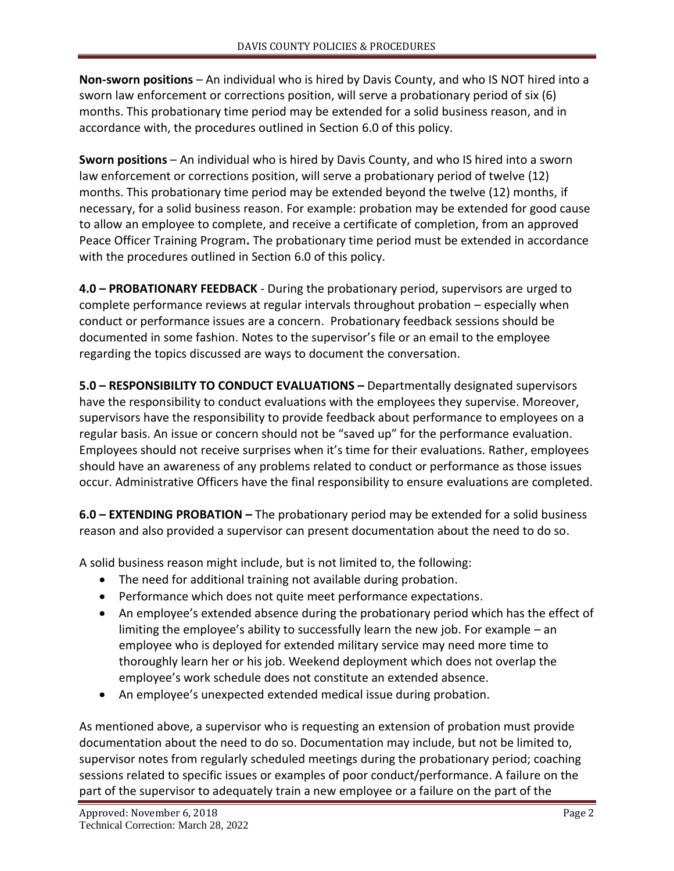**Non-sworn positions** – An individual who is hired by Davis County, and who IS NOT hired into a sworn law enforcement or corrections position, will serve a probationary period of six (6) months. This probationary time period may be extended for a solid business reason, and in accordance with, the procedures outlined in Section 6.0 of this policy.

**Sworn positions** – An individual who is hired by Davis County, and who IS hired into a sworn law enforcement or corrections position, will serve a probationary period of twelve (12) months. This probationary time period may be extended beyond the twelve (12) months, if necessary, for a solid business reason. For example: probation may be extended for good cause to allow an employee to complete, and receive a certificate of completion, from an approved Peace Officer Training Program**.** The probationary time period must be extended in accordance with the procedures outlined in Section 6.0 of this policy.

**4.0 – PROBATIONARY FEEDBACK** - During the probationary period, supervisors are urged to complete performance reviews at regular intervals throughout probation – especially when conduct or performance issues are a concern. Probationary feedback sessions should be documented in some fashion. Notes to the supervisor's file or an email to the employee regarding the topics discussed are ways to document the conversation.

**5.0 – RESPONSIBILITY TO CONDUCT EVALUATIONS –** Departmentally designated supervisors have the responsibility to conduct evaluations with the employees they supervise. Moreover, supervisors have the responsibility to provide feedback about performance to employees on a regular basis. An issue or concern should not be "saved up" for the performance evaluation. Employees should not receive surprises when it's time for their evaluations. Rather, employees should have an awareness of any problems related to conduct or performance as those issues occur. Administrative Officers have the final responsibility to ensure evaluations are completed.

**6.0 – EXTENDING PROBATION –** The probationary period may be extended for a solid business reason and also provided a supervisor can present documentation about the need to do so.

A solid business reason might include, but is not limited to, the following:

- The need for additional training not available during probation.
- Performance which does not quite meet performance expectations.
- An employee's extended absence during the probationary period which has the effect of limiting the employee's ability to successfully learn the new job. For example – an employee who is deployed for extended military service may need more time to thoroughly learn her or his job. Weekend deployment which does not overlap the employee's work schedule does not constitute an extended absence.
- An employee's unexpected extended medical issue during probation.

As mentioned above, a supervisor who is requesting an extension of probation must provide documentation about the need to do so. Documentation may include, but not be limited to, supervisor notes from regularly scheduled meetings during the probationary period; coaching sessions related to specific issues or examples of poor conduct/performance. A failure on the part of the supervisor to adequately train a new employee or a failure on the part of the